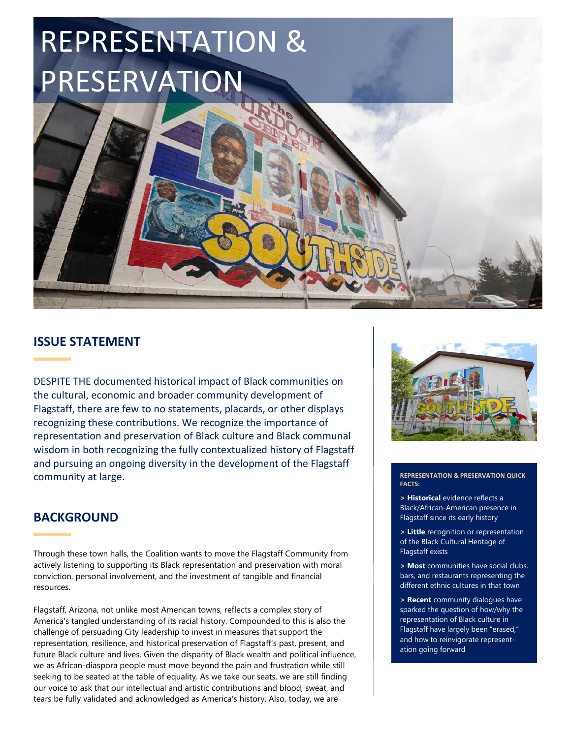# REPRESENTATION & PRESERVATION

## **ISSUE STATEMENT**

DESPITE THE documented historical impact of Black communities on the cultural, economic and broader community development of Flagstaff, there are few to no statements, placards, or other displays recognizing these contributions. We recognize the importance of representation and preservation of Black culture and Black communal wisdom in both recognizing the fully contextualized history of Flagstaff and pursuing an ongoing diversity in the development of the Flagstaff community at large.

### **BACKGROUND**

Through these town halls, the Coalition wants to move the Flagstaff Community from actively listening to supporting its Black representation and preservation with moral conviction, personal involvement, and the investment of tangible and financial resources.

Flagstaff, Arizona, not unlike most American towns, reflects a complex story of America's tangled understanding of its racial history. Compounded to this is also the challenge of persuading City leadership to invest in measures that support the representation, resilience, and historical preservation of Flagstaff's past, present, and future Black culture and lives. Given the disparity of Black wealth and political influence, we as African-diaspora people must move beyond the pain and frustration while still seeking to be seated at the table of equality. As we take our seats, we are still finding our voice to ask that our intellectual and artistic contributions and blood, sweat, and tears be fully validated and acknowledged as America's history. Also, today, we are



**REPRESENTATION & PRESERVATION QUICK FACTS:**

**> Historical** evidence reflects a Black/African-American presence in Flagstaff since its early history

**> Little** recognition or representation of the Black Cultural Heritage of Flagstaff exists

**> Most** communities have social clubs, bars, and restaurants representing the different ethnic cultures in that town

**> Recent** community dialogues have sparked the question of how/why the representation of Black culture in Flagstaff have largely been "erased," and how to reinvigorate representation going forward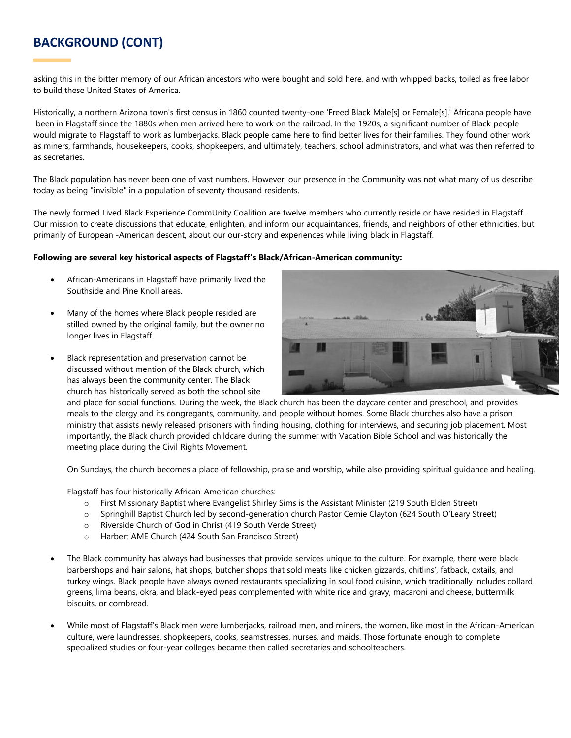# **BACKGROUND (CONT)**

asking this in the bitter memory of our African ancestors who were bought and sold here, and with whipped backs, toiled as free labor to build these United States of America.

Historically, a northern Arizona town's first census in 1860 counted twenty-one 'Freed Black Male[s] or Female[s].' Africana people have been in Flagstaff since the 1880s when men arrived here to work on the railroad. In the 1920s, a significant number of Black people would migrate to Flagstaff to work as lumberjacks. Black people came here to find better lives for their families. They found other work as miners, farmhands, housekeepers, cooks, shopkeepers, and ultimately, teachers, school administrators, and what was then referred to as secretaries.

The Black population has never been one of vast numbers. However, our presence in the Community was not what many of us describe today as being "invisible" in a population of seventy thousand residents.

The newly formed Lived Black Experience CommUnity Coalition are twelve members who currently reside or have resided in Flagstaff. Our mission to create discussions that educate, enlighten, and inform our acquaintances, friends, and neighbors of other ethnicities, but primarily of European -American descent, about our our-story and experiences while living black in Flagstaff.

#### **Following are several key historical aspects of Flagstaff's Black/African-American community:**

- African-Americans in Flagstaff have primarily lived the Southside and Pine Knoll areas.
- Many of the homes where Black people resided are stilled owned by the original family, but the owner no longer lives in Flagstaff.
- Black representation and preservation cannot be discussed without mention of the Black church, which has always been the community center. The Black church has historically served as both the school site



and place for social functions. During the week, the Black church has been the daycare center and preschool, and provides meals to the clergy and its congregants, community, and people without homes. Some Black churches also have a prison ministry that assists newly released prisoners with finding housing, clothing for interviews, and securing job placement. Most importantly, the Black church provided childcare during the summer with Vacation Bible School and was historically the meeting place during the Civil Rights Movement.

On Sundays, the church becomes a place of fellowship, praise and worship, while also providing spiritual guidance and healing.

Flagstaff has four historically African-American churches:

- o First Missionary Baptist where Evangelist Shirley Sims is the Assistant Minister (219 South Elden Street)
- o Springhill Baptist Church led by second-generation church Pastor Cemie Clayton (624 South O'Leary Street)
- o Riverside Church of God in Christ (419 South Verde Street)
- o Harbert AME Church (424 South San Francisco Street)
- The Black community has always had businesses that provide services unique to the culture. For example, there were black barbershops and hair salons, hat shops, butcher shops that sold meats like chicken gizzards, chitlins', fatback, oxtails, and turkey wings. Black people have always owned restaurants specializing in soul food cuisine, which traditionally includes collard greens, lima beans, okra, and black-eyed peas complemented with white rice and gravy, macaroni and cheese, buttermilk biscuits, or cornbread.
- While most of Flagstaff's Black men were lumberjacks, railroad men, and miners, the women, like most in the African-American culture, were laundresses, shopkeepers, cooks, seamstresses, nurses, and maids. Those fortunate enough to complete specialized studies or four-year colleges became then called secretaries and schoolteachers.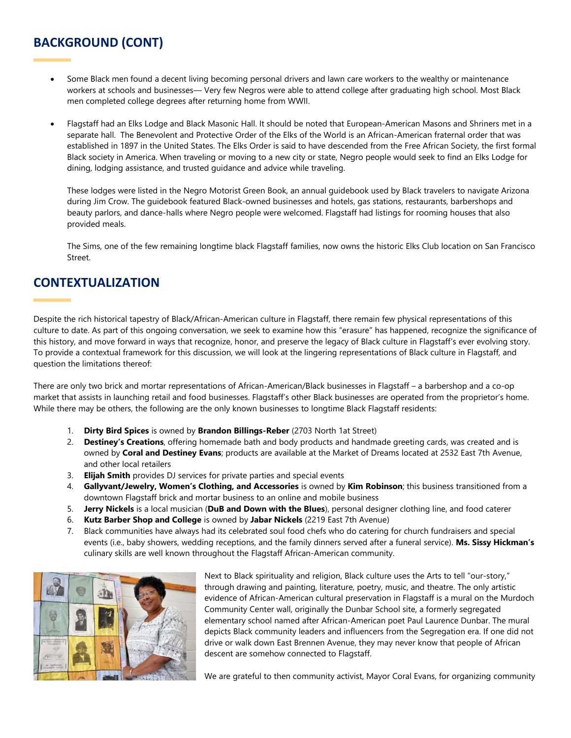# **BACKGROUND (CONT)**

- Some Black men found a decent living becoming personal drivers and lawn care workers to the wealthy or maintenance workers at schools and businesses— Very few Negros were able to attend college after graduating high school. Most Black men completed college degrees after returning home from WWII.
- Flagstaff had an Elks Lodge and Black Masonic Hall. It should be noted that European-American Masons and Shriners met in a separate hall. The Benevolent and Protective Order of the Elks of the World is an African-American fraternal order that was established in 1897 in the United States. The Elks Order is said to have descended from the Free African Society, the first formal Black society in America. When traveling or moving to a new city or state, Negro people would seek to find an Elks Lodge for dining, lodging assistance, and trusted guidance and advice while traveling.

These lodges were listed in the Negro Motorist Green Book, an annual guidebook used by Black travelers to navigate Arizona during Jim Crow. The guidebook featured Black-owned businesses and hotels, gas stations, restaurants, barbershops and beauty parlors, and dance-halls where Negro people were welcomed. Flagstaff had listings for rooming houses that also provided meals.

The Sims, one of the few remaining longtime black Flagstaff families, now owns the historic Elks Club location on San Francisco Street.

## **CONTEXTUALIZATION**

Despite the rich historical tapestry of Black/African-American culture in Flagstaff, there remain few physical representations of this culture to date. As part of this ongoing conversation, we seek to examine how this "erasure" has happened, recognize the significance of this history, and move forward in ways that recognize, honor, and preserve the legacy of Black culture in Flagstaff's ever evolving story. To provide a contextual framework for this discussion, we will look at the lingering representations of Black culture in Flagstaff, and question the limitations thereof:

There are only two brick and mortar representations of African-American/Black businesses in Flagstaff – a barbershop and a co-op market that assists in launching retail and food businesses. Flagstaff's other Black businesses are operated from the proprietor's home. While there may be others, the following are the only known businesses to longtime Black Flagstaff residents:

- 1. **Dirty Bird Spices** is owned by **Brandon Billings-Reber** (2703 North 1at Street)
- 2. **Destiney's Creations**, offering homemade bath and body products and handmade greeting cards, was created and is owned by **Coral and Destiney Evans**; products are available at the Market of Dreams located at 2532 East 7th Avenue, and other local retailers
- 3. **Elijah Smith** provides DJ services for private parties and special events
- 4. **Gallyvant/Jewelry, Women's Clothing, and Accessories** is owned by **Kim Robinson**; this business transitioned from a downtown Flagstaff brick and mortar business to an online and mobile business
- 5. **Jerry Nickels** is a local musician (**DuB and Down with the Blues**), personal designer clothing line, and food caterer
- 6. **Kutz Barber Shop and College** is owned by **Jabar Nickels** (2219 East 7th Avenue)
- 7. Black communities have always had its celebrated soul food chefs who do catering for church fundraisers and special events (i.e., baby showers, wedding receptions, and the family dinners served after a funeral service). **Ms. Sissy Hickman's** culinary skills are well known throughout the Flagstaff African-American community.



Next to Black spirituality and religion, Black culture uses the Arts to tell "our-story," through drawing and painting, literature, poetry, music, and theatre. The only artistic evidence of African-American cultural preservation in Flagstaff is a mural on the Murdoch Community Center wall, originally the Dunbar School site, a formerly segregated elementary school named after African-American poet Paul Laurence Dunbar. The mural depicts Black community leaders and influencers from the Segregation era. If one did not drive or walk down East Brennen Avenue, they may never know that people of African descent are somehow connected to Flagstaff.

We are grateful to then community activist, Mayor Coral Evans, for organizing community